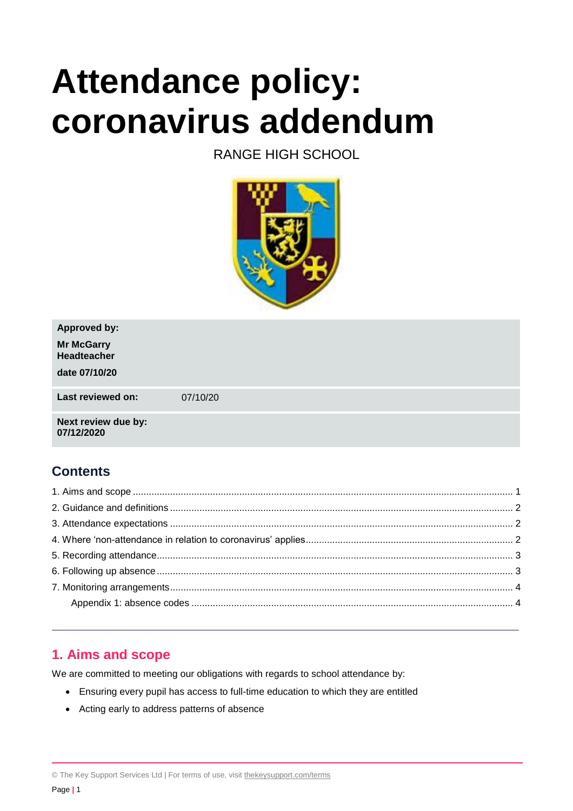# **Attendance policy: coronavirus addendum**

# RANGE HIGH SCHOOL



| <b>Approved by:</b>               |          |
|-----------------------------------|----------|
| <b>Mr McGarry</b><br>Headteacher  |          |
| date 07/10/20                     |          |
| Last reviewed on:                 | 07/10/20 |
| Next review due by:<br>07/12/2020 |          |

# **Contents**

# <span id="page-0-0"></span>**1. Aims and scope**

We are committed to meeting our obligations with regards to school attendance by:

- Ensuring every pupil has access to full-time education to which they are entitled
- Acting early to address patterns of absence

© The Key Support Services Ltd | For terms of use, visit [thekeysupport.com/terms](https://thekeysupport.com/terms-of-use)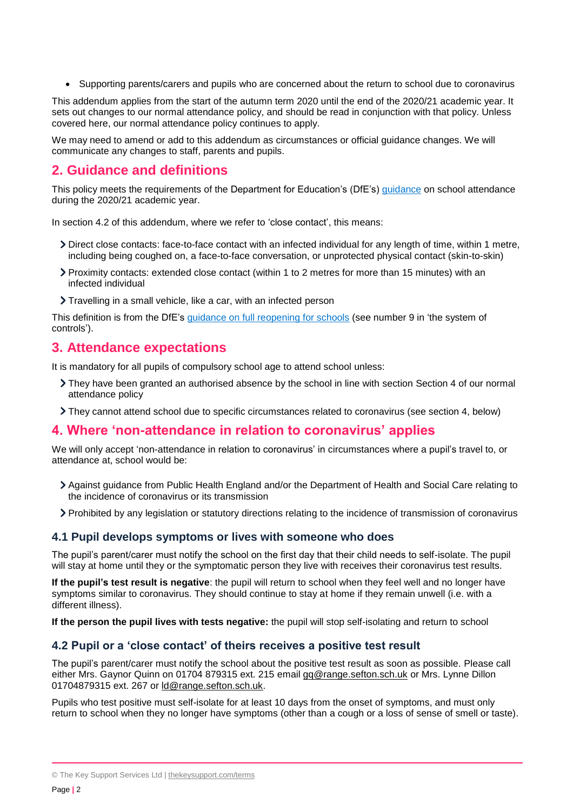• Supporting parents/carers and pupils who are concerned about the return to school due to coronavirus

This addendum applies from the start of the autumn term 2020 until the end of the 2020/21 academic year. It sets out changes to our normal attendance policy, and should be read in conjunction with that policy. Unless covered here, our normal attendance policy continues to apply.

We may need to amend or add to this addendum as circumstances or official guidance changes. We will communicate any changes to staff, parents and pupils.

# <span id="page-1-0"></span>**2. Guidance and definitions**

This policy meets the requirements of the Department for Education's (DfE's) [guidance](https://www.gov.uk/government/publications/school-attendance/addendum-recording-attendance-in-relation-to-coronavirus-covid-19-during-the-2020-to-2021-academic-year) on school attendance during the 2020/21 academic year.

In section 4.2 of this addendum, where we refer to 'close contact', this means:

- Direct close contacts: face-to-face contact with an infected individual for any length of time, within 1 metre, including being coughed on, a face-to-face conversation, or unprotected physical contact (skin-to-skin)
- Proximity contacts: extended close contact (within 1 to 2 metres for more than 15 minutes) with an infected individual
- Travelling in a small vehicle, like a car, with an infected person

This definition is from the DfE's [guidance on full reopening for schools](https://www.gov.uk/government/publications/actions-for-schools-during-the-coronavirus-outbreak/guidance-for-full-opening-schools) (see number 9 in 'the system of controls').

## <span id="page-1-1"></span>**3. Attendance expectations**

It is mandatory for all pupils of compulsory school age to attend school unless:

- They have been granted an authorised absence by the school in line with section Section 4 of our normal attendance policy
- They cannot attend school due to specific circumstances related to coronavirus (see section 4, below)

## <span id="page-1-2"></span>**4. Where 'non-attendance in relation to coronavirus' applies**

We will only accept 'non-attendance in relation to coronavirus' in circumstances where a pupil's travel to, or attendance at, school would be:

- Against guidance from Public Health England and/or the Department of Health and Social Care relating to the incidence of coronavirus or its transmission
- Prohibited by any legislation or statutory directions relating to the incidence of transmission of coronavirus

#### **4.1 Pupil develops symptoms or lives with someone who does**

The pupil's parent/carer must notify the school on the first day that their child needs to self-isolate. The pupil will stay at home until they or the symptomatic person they live with receives their coronavirus test results.

**If the pupil's test result is negative**: the pupil will return to school when they feel well and no longer have symptoms similar to coronavirus. They should continue to stay at home if they remain unwell (i.e. with a different illness).

**If the person the pupil lives with tests negative:** the pupil will stop self-isolating and return to school

## **4.2 Pupil or a 'close contact' of theirs receives a positive test result**

The pupil's parent/carer must notify the school about the positive test result as soon as possible. Please call either Mrs. Gaynor Quinn on 01704 879315 ext. 215 email [gq@range.sefton.sch.uk](mailto:gq@range.sefton.sch.uk) or Mrs. Lynne Dillon 01704879315 ext. 267 or ld@range.sefton.sch.uk.

Pupils who test positive must self-isolate for at least 10 days from the onset of symptoms, and must only return to school when they no longer have symptoms (other than a cough or a loss of sense of smell or taste).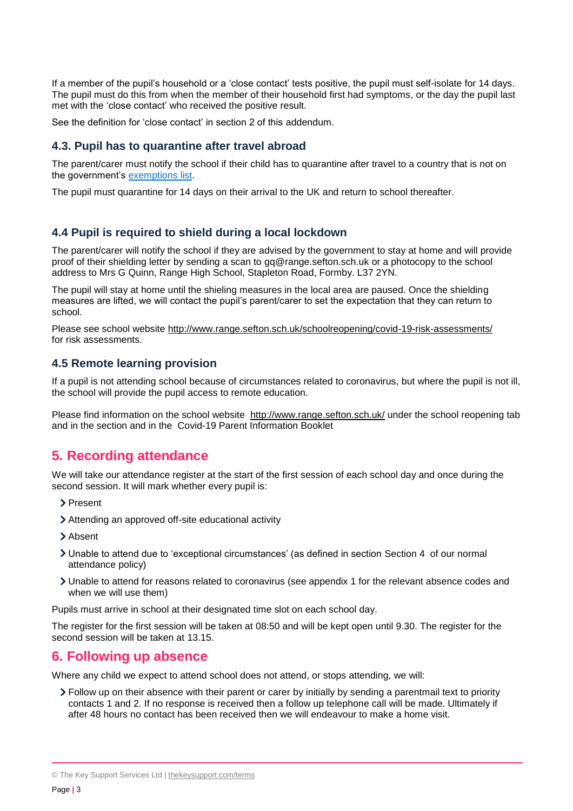If a member of the pupil's household or a 'close contact' tests positive, the pupil must self-isolate for 14 days. The pupil must do this from when the member of their household first had symptoms, or the day the pupil last met with the 'close contact' who received the positive result.

See the definition for 'close contact' in section 2 of this addendum.

#### **4.3. Pupil has to quarantine after travel abroad**

The parent/carer must notify the school if their child has to quarantine after travel to a country that is not on the government's [exemptions](https://www.gov.uk/guidance/coronavirus-covid-19-travel-corridors#countries-and-territories-with-no-self-isolation-requirement-on-arrival-in-england) list.

The pupil must quarantine for 14 days on their arrival to the UK and return to school thereafter.

#### **4.4 Pupil is required to shield during a local lockdown**

The parent/carer will notify the school if they are advised by the government to stay at home and will provide proof of their shielding letter by sending a scan to gq@range.sefton.sch.uk or a photocopy to the school address to Mrs G Quinn, Range High School, Stapleton Road, Formby. L37 2YN.

The pupil will stay at home until the shieling measures in the local area are paused. Once the shielding measures are lifted, we will contact the pupil's parent/carer to set the expectation that they can return to school.

Please see school website<http://www.range.sefton.sch.uk/schoolreopening/covid-19-risk-assessments/> for risk assessments.

#### **4.5 Remote learning provision**

If a pupil is not attending school because of circumstances related to coronavirus, but where the pupil is not ill, the school will provide the pupil access to remote education.

Please find information on the school website <http://www.range.sefton.sch.uk/> under the school reopening tab and in the section and in the Covid-19 Parent Information Booklet

## <span id="page-2-0"></span>**5. Recording attendance**

We will take our attendance register at the start of the first session of each school day and once during the second session. It will mark whether every pupil is:

- > Present
- Attending an approved off-site educational activity
- > Absent
- Unable to attend due to 'exceptional circumstances' (as defined in section Section 4 of our normal attendance policy)
- Unable to attend for reasons related to coronavirus (see appendix 1 for the relevant absence codes and when we will use them)

Pupils must arrive in school at their designated time slot on each school day.

The register for the first session will be taken at 08:50 and will be kept open until 9.30. The register for the second session will be taken at 13.15.

## <span id="page-2-1"></span>**6. Following up absence**

Where any child we expect to attend school does not attend, or stops attending, we will:

Follow up on their absence with their parent or carer by initially by sending a parentmail text to priority contacts 1 and 2. If no response is received then a follow up telephone call will be made. Ultimately if after 48 hours no contact has been received then we will endeavour to make a home visit.

© The Key Support Services Ltd | [thekeysupport.com/terms](https://thekeysupport.com/terms-of-use)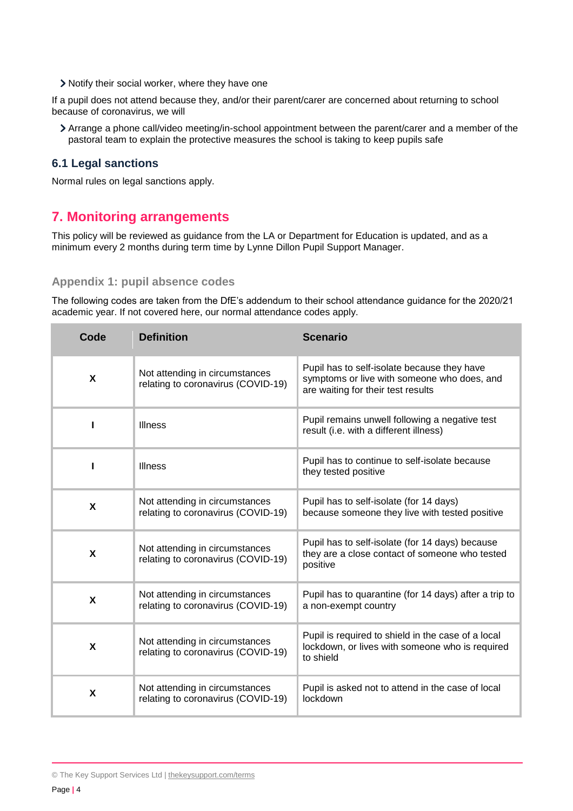Notify their social worker, where they have one

If a pupil does not attend because they, and/or their parent/carer are concerned about returning to school because of coronavirus, we will

Arrange a phone call/video meeting/in-school appointment between the parent/carer and a member of the pastoral team to explain the protective measures the school is taking to keep pupils safe

#### **6.1 Legal sanctions**

Normal rules on legal sanctions apply.

## <span id="page-3-0"></span>**7. Monitoring arrangements**

This policy will be reviewed as guidance from the LA or Department for Education is updated, and as a minimum every 2 months during term time by Lynne Dillon Pupil Support Manager.

#### <span id="page-3-1"></span>**Appendix 1: pupil absence codes**

The following codes are taken from the DfE's addendum to their school attendance guidance for the 2020/21 academic year. If not covered here, our normal attendance codes apply.

| Code | <b>Definition</b>                                                    | <b>Scenario</b>                                                                                                                  |
|------|----------------------------------------------------------------------|----------------------------------------------------------------------------------------------------------------------------------|
| X    | Not attending in circumstances<br>relating to coronavirus (COVID-19) | Pupil has to self-isolate because they have<br>symptoms or live with someone who does, and<br>are waiting for their test results |
|      | <b>Illness</b>                                                       | Pupil remains unwell following a negative test<br>result (i.e. with a different illness)                                         |
|      | <b>Illness</b>                                                       | Pupil has to continue to self-isolate because<br>they tested positive                                                            |
| X    | Not attending in circumstances<br>relating to coronavirus (COVID-19) | Pupil has to self-isolate (for 14 days)<br>because someone they live with tested positive                                        |
| X    | Not attending in circumstances<br>relating to coronavirus (COVID-19) | Pupil has to self-isolate (for 14 days) because<br>they are a close contact of someone who tested<br>positive                    |
| X    | Not attending in circumstances<br>relating to coronavirus (COVID-19) | Pupil has to quarantine (for 14 days) after a trip to<br>a non-exempt country                                                    |
| X    | Not attending in circumstances<br>relating to coronavirus (COVID-19) | Pupil is required to shield in the case of a local<br>lockdown, or lives with someone who is required<br>to shield               |
| X    | Not attending in circumstances<br>relating to coronavirus (COVID-19) | Pupil is asked not to attend in the case of local<br>lockdown                                                                    |